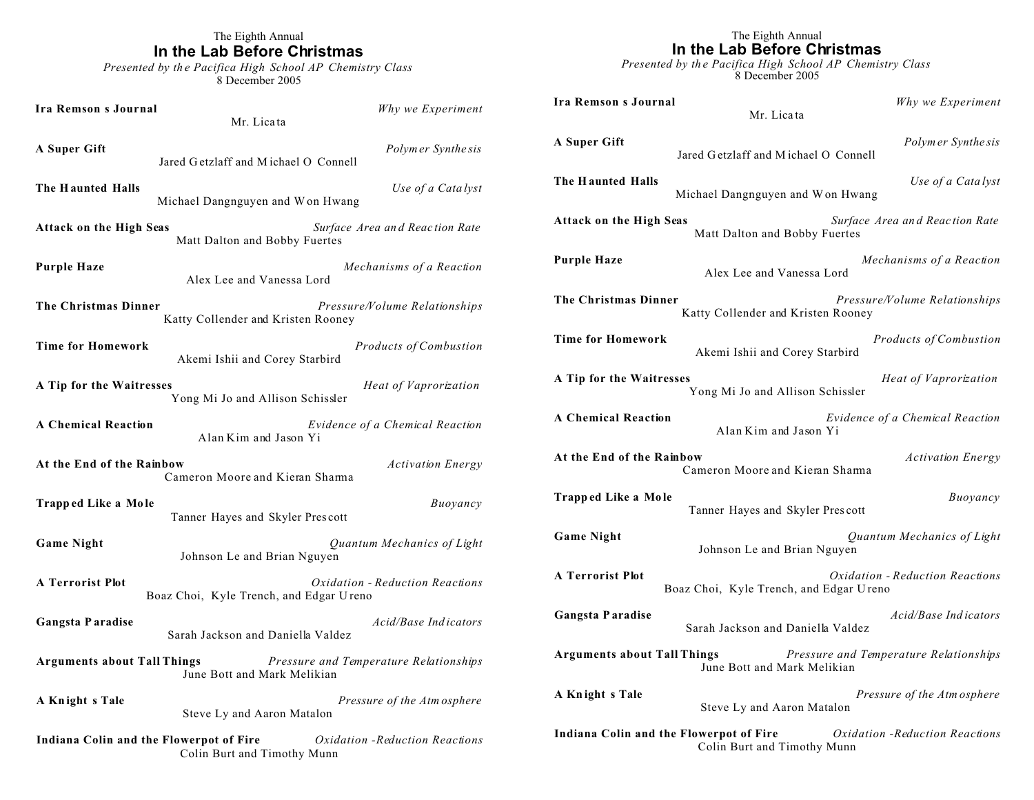## The Eighth Annual **In the Lab Before Christmas**

*Presented by th e Pacifica High School AP Chemistry Class* 8 December 2005

| Ira Remson s Journal                                                                                      | Mr. Licata                              | Why we Experiment               |
|-----------------------------------------------------------------------------------------------------------|-----------------------------------------|---------------------------------|
| A Super Gift                                                                                              | Jared Getzlaff and Michael O Connell    | Polymer Synthesis               |
| The Haunted Halls                                                                                         | Michael Dangnguyen and Won Hwang        | Use of a Catalyst               |
| Surface Area and Reaction Rate<br><b>Attack on the High Seas</b><br>Matt Dalton and Bobby Fuertes         |                                         |                                 |
| Purple Haze                                                                                               | Alex Lee and Vanessa Lord               | Mechanisms of a Reaction        |
| The Christmas Dinner<br>Pressure/Volume Relationships<br>Katty Collender and Kristen Rooney               |                                         |                                 |
| <b>Time for Homework</b>                                                                                  | Akemi Ishii and Corey Starbird          | <b>Products of Combustion</b>   |
| <b>A Tip for the Waitresses</b>                                                                           | Yong Mi Jo and Allison Schissler        | Heat of Vaprorization           |
| <b>A Chemical Reaction</b>                                                                                | Alan Kim and Jason Yi                   | Evidence of a Chemical Reaction |
| At the End of the Rainbow                                                                                 | Cameron Moore and Kieran Sharma         | <b>Activation Energy</b>        |
| Trapped Like a Mole                                                                                       | Tanner Hayes and Skyler Prescott        | Buoyancy                        |
| <b>Game Night</b>                                                                                         | Johnson Le and Brian Nguyen             | Quantum Mechanics of Light      |
| <b>A Terrorist Plot</b>                                                                                   | Boaz Choi, Kyle Trench, and Edgar Ureno | Oxidation - Reduction Reactions |
| Gangsta Paradise                                                                                          | Sarah Jackson and Daniella Valdez       | Acid/Base Indicators            |
| Arguments about Tall Things<br>Pressure and Temperature Relationships<br>June Bott and Mark Melikian      |                                         |                                 |
| A Knight s Tale                                                                                           | Steve Ly and Aaron Matalon              | Pressure of the Atm osphere     |
| Indiana Colin and the Flowerpot of Fire<br>Oxidation - Reduction Reactions<br>Colin Burt and Timothy Munn |                                         |                                 |

# The Eighth Annual **In the Lab Before Christmas**

*Presented by th e Pacifica High School AP Chemistry Class* 8 December 2005

**Ira Remson s Journal** *Why we Experiment* Mr. Lica ta

**A Super Gift** *Polym er Synthe sis* Jared G etzlaff and M ichael O Connell **The H aunted Halls** *Use of a Cata lyst* Michael Dangnguyen and W on Hwang **Attack on the High Seas** *Surface Area an d Reac tion Rate* Matt Dalton and Bobby Fuertes

**Purple Haze** *Mechanisms of a Reaction* Alex Lee and Vanessa Lord

**The Christmas Dinner** *Pressure/Volume Relationships* Katty Collender and Kristen Rooney

**Time for Homework** *Products of Combustion* Akemi Ishii and Corey Starbird

**A Tip for the Waitresses** *Heat of Vaprorization*  Yong Mi Jo and Allison Schissler

**A Chemical Reaction** *Evidence of a Chemical Reaction* Alan Kim and Jason Yi

**At the End of the Rainbow** *Activation Energy* Cameron Moore and Kieran Sharma

**Trapp ed Like a Mole buoyancy** *Buoyancy* Tanner Hayes and Skyler Pres cott

**Game Night** *Quantum Mechanics of Light* Johnson Le and Brian Nguyen

**A Terrorist Plot** *Oxidation - Reduction Reactions* Boaz Choi, Kyle Trench, and Edgar U reno

**Gangsta P aradise** *Acid/Base Ind icators* Sarah Jackson and Daniella Valdez

**Arguments about Tall Things** *Pressure and Temperature Relationships* June Bott and Mark Melikian

**A Kn ight s Tale** *Pressure of the Atm osphere* Steve Ly and Aaron Matalon

**Indiana Colin and the Flowerpot of Fire** *Oxidation -Reduction Reactions* Colin Burt and Timothy Munn